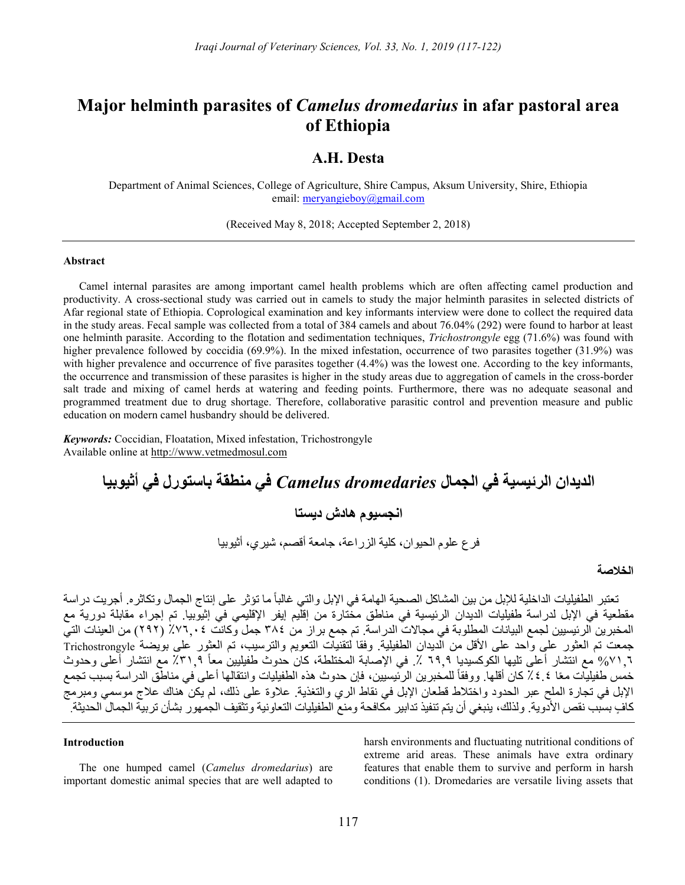# Major helminth parasites of Camelus dromedarius in afar pastoral area of Ethiopia

# A.H. Desta

Department of Animal Sciences, College of Agriculture, Shire Campus, Aksum University, Shire, Ethiopia email: meryangieboy@gmail.com

(Received May 8, 2018; Accepted September 2, 2018)

#### Abstract

Camel internal parasites are among important camel health problems which are often affecting camel production and productivity. A cross-sectional study was carried out in camels to study the major helminth parasites in selected districts of Afar regional state of Ethiopia. Coprological examination and key informants interview were done to collect the required data in the study areas. Fecal sample was collected from a total of 384 camels and about 76.04% (292) were found to harbor at least one helminth parasite. According to the flotation and sedimentation techniques, Trichostrongyle egg (71.6%) was found with higher prevalence followed by coccidia (69.9%). In the mixed infestation, occurrence of two parasites together (31.9%) was with higher prevalence and occurrence of five parasites together  $(4.4%)$  was the lowest one. According to the key informants, the occurrence and transmission of these parasites is higher in the study areas due to aggregation of camels in the cross-border salt trade and mixing of camel herds at watering and feeding points. Furthermore, there was no adequate seasonal and programmed treatment due to drug shortage. Therefore, collaborative parasitic control and prevention measure and public education on modern camel husbandry should be delivered.

Keywords: Coccidian, Floatation, Mixed infestation, Trichostrongyle Available online at http://www.vetmedmosul.com

# الديدان الرئيسية في الجمال dromedaries Camelus في منطقة باستورل في أثيوبيا

# انجسيوم هادش ديستا

فرع علوم الحيوان، كلية الزراعة، جامعة أقصم، شيري، أثيوبيا

# الخلاصة

تعتبر الطفيليات الداخلية للإبل من بين المشاكل الصحية الهامة في الإبل والتي غالباً ما تؤثر على إنتاج الجمال وتكاثره. أجريت دراسة مقطعية في الإبل لدراسة طفيليات الديدان الرئيسية في مناطق مختارة من إقليم إيفر الإقليمي في إثيوبيا. تم إجراء مقابلة دورية مع المخبرين الرئيسيين لجمع البيانات المطلوبة في مجالات الدراسة. تم جمع براز من ٣٨٤ جمل وكانت ٪٧٦,٠٤ (٢٩٢) من العينات التي جمعت تم العثور على واحد على الأقل من الديدان الطفيلية. وفقا لتقنيات التعويم والترسيب، تم العثور على بويضة Trichostrongyle %٧١,٦ مع انتشار أعلى تليها الكوكسيديا ٦٩,٩ .٪ في الإصابة المختلطة، كان حدوث طفيليين معاً ٪٣١,٩ مع انتشار أعلى وحدوث خمس طفيليات معًا ٤.٤٪ كان أقلها. ووفقاً للمخبرين الرئيسيين، فإن حدوث هذه الطفيليات وانتقالها أعلى في مناطق الدراسة بسبب تجمع الإبل في تجارة الملح عبر الحدود واختلاط قطعان الإبل في نقاط الري والتغذية. علاوة على ذلك، لم يكن هناك علاج موسمي ومبرمج كافٍ بسبب نقص الأدوية. ولذلك، ينبغي أن يتم تنفيذ تدابير مكافحة ومنع الطفيليات التعاونية وتثقيف الجمهور بشأن تربية الجمال الحديثة.

#### Introduction

The one humped camel (Camelus dromedarius) are important domestic animal species that are well adapted to harsh environments and fluctuating nutritional conditions of extreme arid areas. These animals have extra ordinary features that enable them to survive and perform in harsh conditions (1). Dromedaries are versatile living assets that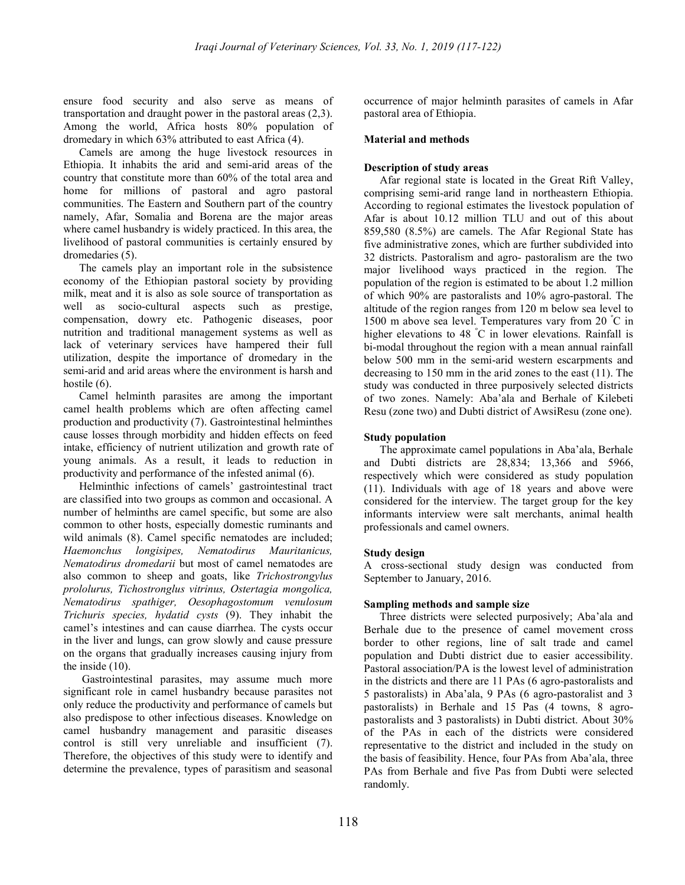ensure food security and also serve as means of transportation and draught power in the pastoral areas (2,3). Among the world, Africa hosts 80% population of dromedary in which 63% attributed to east Africa (4).

Camels are among the huge livestock resources in Ethiopia. It inhabits the arid and semi-arid areas of the country that constitute more than 60% of the total area and home for millions of pastoral and agro pastoral communities. The Eastern and Southern part of the country namely, Afar, Somalia and Borena are the major areas where camel husbandry is widely practiced. In this area, the livelihood of pastoral communities is certainly ensured by dromedaries (5).

The camels play an important role in the subsistence economy of the Ethiopian pastoral society by providing milk, meat and it is also as sole source of transportation as well as socio-cultural aspects such as prestige, compensation, dowry etc. Pathogenic diseases, poor nutrition and traditional management systems as well as lack of veterinary services have hampered their full utilization, despite the importance of dromedary in the semi-arid and arid areas where the environment is harsh and hostile  $(6)$ .

Camel helminth parasites are among the important camel health problems which are often affecting camel production and productivity (7). Gastrointestinal helminthes cause losses through morbidity and hidden effects on feed intake, efficiency of nutrient utilization and growth rate of young animals. As a result, it leads to reduction in productivity and performance of the infested animal (6).

Helminthic infections of camels' gastrointestinal tract are classified into two groups as common and occasional. A number of helminths are camel specific, but some are also common to other hosts, especially domestic ruminants and wild animals (8). Camel specific nematodes are included; Haemonchus longisipes, Nematodirus Mauritanicus, Nematodirus dromedarii but most of camel nematodes are also common to sheep and goats, like Trichostrongylus prololurus, Tichostronglus vitrinus, Ostertagia mongolica, Nematodirus spathiger, Oesophagostomum venulosum Trichuris species, hydatid cysts (9). They inhabit the camel's intestines and can cause diarrhea. The cysts occur in the liver and lungs, can grow slowly and cause pressure on the organs that gradually increases causing injury from the inside (10).

 Gastrointestinal parasites, may assume much more significant role in camel husbandry because parasites not only reduce the productivity and performance of camels but also predispose to other infectious diseases. Knowledge on camel husbandry management and parasitic diseases control is still very unreliable and insufficient (7). Therefore, the objectives of this study were to identify and determine the prevalence, types of parasitism and seasonal

occurrence of major helminth parasites of camels in Afar pastoral area of Ethiopia.

## Material and methods

# Description of study areas

Afar regional state is located in the Great Rift Valley, comprising semi-arid range land in northeastern Ethiopia. According to regional estimates the livestock population of Afar is about 10.12 million TLU and out of this about 859,580 (8.5%) are camels. The Afar Regional State has five administrative zones, which are further subdivided into 32 districts. Pastoralism and agro- pastoralism are the two major livelihood ways practiced in the region. The population of the region is estimated to be about 1.2 million of which 90% are pastoralists and 10% agro-pastoral. The altitude of the region ranges from 120 m below sea level to 1500 m above sea level. Temperatures vary from 20 <sup>º</sup>C in higher elevations to 48 °C in lower elevations. Rainfall is bi-modal throughout the region with a mean annual rainfall below 500 mm in the semi-arid western escarpments and decreasing to 150 mm in the arid zones to the east (11). The study was conducted in three purposively selected districts of two zones. Namely: Aba'ala and Berhale of Kilebeti Resu (zone two) and Dubti district of AwsiResu (zone one).

# Study population

The approximate camel populations in Aba'ala, Berhale and Dubti districts are 28,834; 13,366 and 5966, respectively which were considered as study population (11). Individuals with age of 18 years and above were considered for the interview. The target group for the key informants interview were salt merchants, animal health professionals and camel owners.

## Study design

A cross-sectional study design was conducted from September to January, 2016.

## Sampling methods and sample size

Three districts were selected purposively; Aba'ala and Berhale due to the presence of camel movement cross border to other regions, line of salt trade and camel population and Dubti district due to easier accessibility. Pastoral association/PA is the lowest level of administration in the districts and there are 11 PAs (6 agro-pastoralists and 5 pastoralists) in Aba'ala, 9 PAs (6 agro-pastoralist and 3 pastoralists) in Berhale and 15 Pas (4 towns, 8 agropastoralists and 3 pastoralists) in Dubti district. About 30% of the PAs in each of the districts were considered representative to the district and included in the study on the basis of feasibility. Hence, four PAs from Aba'ala, three PAs from Berhale and five Pas from Dubti were selected randomly.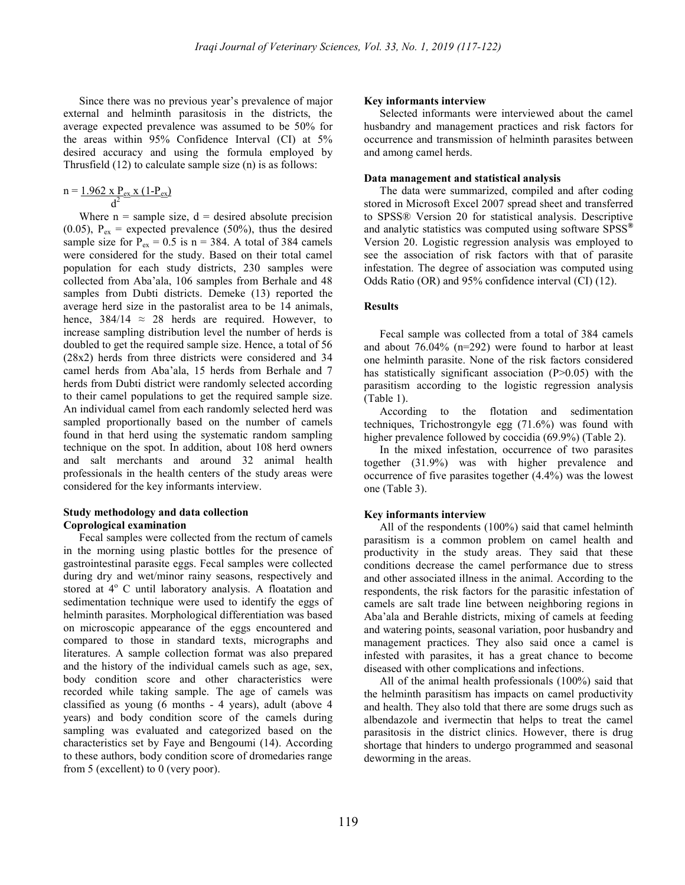Since there was no previous year's prevalence of major external and helminth parasitosis in the districts, the average expected prevalence was assumed to be 50% for the areas within 95% Confidence Interval (CI) at 5% desired accuracy and using the formula employed by Thrusfield (12) to calculate sample size (n) is as follows:

$$
n = \frac{1.962 \times P_{ex} \times (1-P_{ex})}{d^2}
$$

Where  $n =$  sample size,  $d =$  desired absolute precision (0.05),  $P_{ex}$  = expected prevalence (50%), thus the desired sample size for  $P_{ex} = 0.5$  is n = 384. A total of 384 camels were considered for the study. Based on their total camel population for each study districts, 230 samples were collected from Aba'ala, 106 samples from Berhale and 48 samples from Dubti districts. Demeke (13) reported the average herd size in the pastoralist area to be 14 animals, hence,  $384/14 \approx 28$  herds are required. However, to increase sampling distribution level the number of herds is doubled to get the required sample size. Hence, a total of 56 (28x2) herds from three districts were considered and 34 camel herds from Aba'ala, 15 herds from Berhale and 7 herds from Dubti district were randomly selected according to their camel populations to get the required sample size. An individual camel from each randomly selected herd was sampled proportionally based on the number of camels found in that herd using the systematic random sampling technique on the spot. In addition, about 108 herd owners and salt merchants and around 32 animal health professionals in the health centers of the study areas were considered for the key informants interview.

## Study methodology and data collection Coprological examination

Fecal samples were collected from the rectum of camels in the morning using plastic bottles for the presence of gastrointestinal parasite eggs. Fecal samples were collected during dry and wet/minor rainy seasons, respectively and stored at 4° C until laboratory analysis. A floatation and sedimentation technique were used to identify the eggs of helminth parasites. Morphological differentiation was based on microscopic appearance of the eggs encountered and compared to those in standard texts, micrographs and literatures. A sample collection format was also prepared and the history of the individual camels such as age, sex, body condition score and other characteristics were recorded while taking sample. The age of camels was classified as young (6 months - 4 years), adult (above 4 years) and body condition score of the camels during sampling was evaluated and categorized based on the characteristics set by Faye and Bengoumi (14). According to these authors, body condition score of dromedaries range from 5 (excellent) to 0 (very poor).

#### Key informants interview

Selected informants were interviewed about the camel husbandry and management practices and risk factors for occurrence and transmission of helminth parasites between and among camel herds.

#### Data management and statistical analysis

The data were summarized, compiled and after coding stored in Microsoft Excel 2007 spread sheet and transferred to SPSS® Version 20 for statistical analysis. Descriptive and analytic statistics was computed using software SPSS<sup>®</sup> Version 20. Logistic regression analysis was employed to see the association of risk factors with that of parasite infestation. The degree of association was computed using Odds Ratio (OR) and 95% confidence interval (CI) (12).

## Results

Fecal sample was collected from a total of 384 camels and about 76.04% (n=292) were found to harbor at least one helminth parasite. None of the risk factors considered has statistically significant association (P>0.05) with the parasitism according to the logistic regression analysis (Table 1).

According to the flotation and sedimentation techniques, Trichostrongyle egg (71.6%) was found with higher prevalence followed by coccidia (69.9%) (Table 2).

In the mixed infestation, occurrence of two parasites together (31.9%) was with higher prevalence and occurrence of five parasites together (4.4%) was the lowest one (Table 3).

#### Key informants interview

All of the respondents (100%) said that camel helminth parasitism is a common problem on camel health and productivity in the study areas. They said that these conditions decrease the camel performance due to stress and other associated illness in the animal. According to the respondents, the risk factors for the parasitic infestation of camels are salt trade line between neighboring regions in Aba'ala and Berahle districts, mixing of camels at feeding and watering points, seasonal variation, poor husbandry and management practices. They also said once a camel is infested with parasites, it has a great chance to become diseased with other complications and infections.

All of the animal health professionals (100%) said that the helminth parasitism has impacts on camel productivity and health. They also told that there are some drugs such as albendazole and ivermectin that helps to treat the camel parasitosis in the district clinics. However, there is drug shortage that hinders to undergo programmed and seasonal deworming in the areas.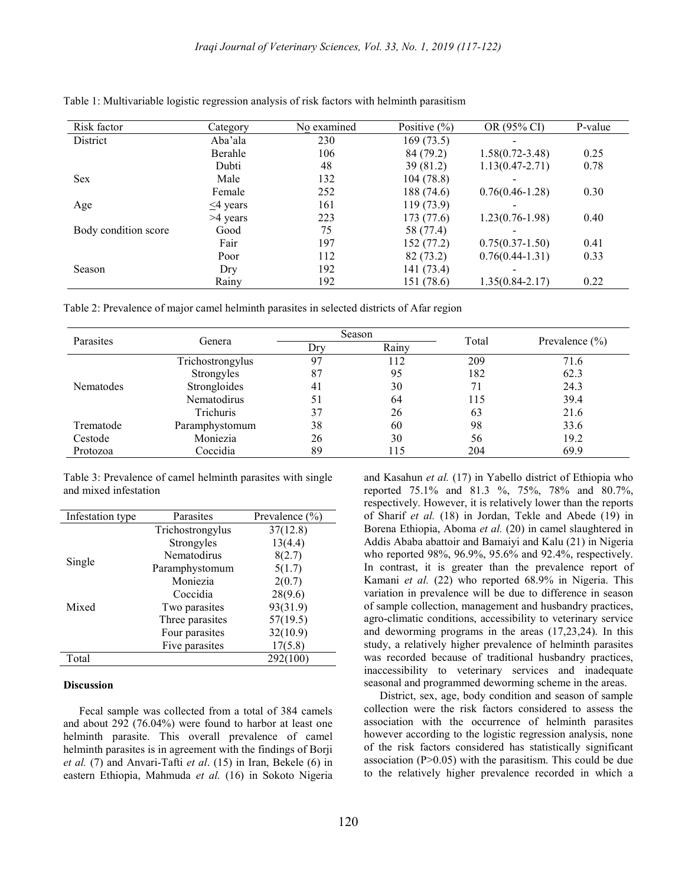| Risk factor          | Category       | No examined | Positive $(\% )$ | OR (95% CI)         | P-value |
|----------------------|----------------|-------------|------------------|---------------------|---------|
| District             | Aba'ala        | 230         | 169(73.5)        |                     |         |
|                      | Berahle        | 106         | 84 (79.2)        | $1.58(0.72 - 3.48)$ | 0.25    |
|                      | Dubti          | 48          | 39(81.2)         | $1.13(0.47 - 2.71)$ | 0.78    |
| <b>Sex</b>           | Male           | 132         | 104(78.8)        |                     |         |
|                      | Female         | 252         | 188 (74.6)       | $0.76(0.46 - 1.28)$ | 0.30    |
| Age                  | $\leq$ 4 years | 161         | 119 (73.9)       |                     |         |
|                      | >4 years       | 223         | 173 (77.6)       | $1.23(0.76-1.98)$   | 0.40    |
| Body condition score | Good           | 75          | 58 (77.4)        |                     |         |
|                      | Fair           | 197         | 152 (77.2)       | $0.75(0.37-1.50)$   | 0.41    |
|                      | Poor           | 112         | 82(73.2)         | $0.76(0.44-1.31)$   | 0.33    |
| Season               | Dry            | 192         | 141 (73.4)       |                     |         |
|                      | Rainy          | 192         | 151 (78.6)       | $1.35(0.84 - 2.17)$ | 0.22    |

Table 1: Multivariable logistic regression analysis of risk factors with helminth parasitism

Table 2: Prevalence of major camel helminth parasites in selected districts of Afar region

| Parasites | Genera             | Season |       |       |                    |
|-----------|--------------------|--------|-------|-------|--------------------|
|           |                    | Dry    | Rainv | Total | Prevalence $(\% )$ |
| Nematodes | Trichostrongylus   | 97     | 112   | 209   | 71.6               |
|           | Strongyles         | 87     | 95    | 182   | 62.3               |
|           | Strongloides       | 41     | 30    | 71    | 24.3               |
|           | <b>Nematodirus</b> | 51     | 64    | 115   | 39.4               |
|           | <b>Trichuris</b>   | 37     | 26    | 63    | 21.6               |
| Trematode | Paramphystomum     | 38     | 60    | 98    | 33.6               |
| Cestode   | Moniezia           | 26     | 30    | 56    | 19.2               |
| Protozoa  | Coccidia           | 89     | 115   | 204   | 69.9               |

Table 3: Prevalence of camel helminth parasites with single and mixed infestation

| Infestation type | Parasites        | Prevalence (%) |  |
|------------------|------------------|----------------|--|
|                  | Trichostrongylus | 37(12.8)       |  |
|                  | Strongyles       | 13(4.4)        |  |
|                  | Nematodirus      | 8(2.7)         |  |
| Single           | Paramphystomum   | 5(1.7)         |  |
|                  | Moniezia         | 2(0.7)         |  |
|                  | Coccidia         | 28(9.6)        |  |
| Mixed            | Two parasites    | 93(31.9)       |  |
|                  | Three parasites  | 57(19.5)       |  |
|                  | Four parasites   | 32(10.9)       |  |
|                  | Five parasites   | 17(5.8)        |  |
| Total            |                  | 292(100)       |  |

#### **Discussion**

Fecal sample was collected from a total of 384 camels and about 292 (76.04%) were found to harbor at least one helminth parasite. This overall prevalence of camel helminth parasites is in agreement with the findings of Borji et al. (7) and Anvari-Tafti et al. (15) in Iran, Bekele (6) in eastern Ethiopia, Mahmuda et al. (16) in Sokoto Nigeria and Kasahun et al. (17) in Yabello district of Ethiopia who reported 75.1% and 81.3 %, 75%, 78% and 80.7%, respectively. However, it is relatively lower than the reports of Sharif et al. (18) in Jordan, Tekle and Abede (19) in Borena Ethiopia, Aboma et al. (20) in camel slaughtered in Addis Ababa abattoir and Bamaiyi and Kalu (21) in Nigeria who reported 98%, 96.9%, 95.6% and 92.4%, respectively. In contrast, it is greater than the prevalence report of Kamani et al. (22) who reported 68.9% in Nigeria. This variation in prevalence will be due to difference in season of sample collection, management and husbandry practices, agro-climatic conditions, accessibility to veterinary service and deworming programs in the areas (17,23,24). In this study, a relatively higher prevalence of helminth parasites was recorded because of traditional husbandry practices, inaccessibility to veterinary services and inadequate seasonal and programmed deworming scheme in the areas.

District, sex, age, body condition and season of sample collection were the risk factors considered to assess the association with the occurrence of helminth parasites however according to the logistic regression analysis, none of the risk factors considered has statistically significant association  $(P>0.05)$  with the parasitism. This could be due to the relatively higher prevalence recorded in which a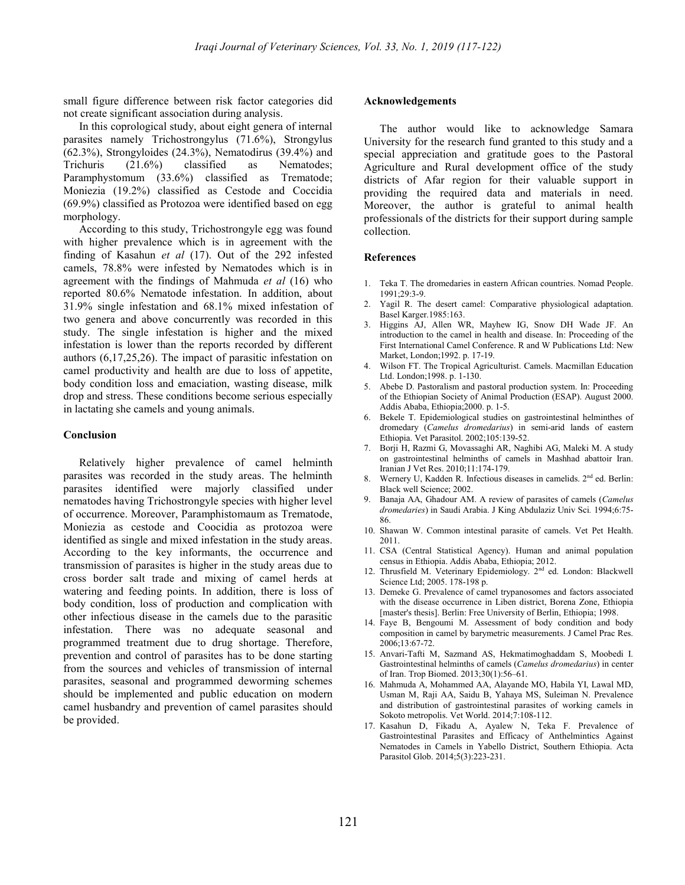small figure difference between risk factor categories did not create significant association during analysis.

In this coprological study, about eight genera of internal parasites namely Trichostrongylus (71.6%), Strongylus (62.3%), Strongyloides (24.3%), Nematodirus (39.4%) and Trichuris (21.6%) classified as Nematodes; Paramphystomum (33.6%) classified as Trematode; Moniezia (19.2%) classified as Cestode and Coccidia (69.9%) classified as Protozoa were identified based on egg morphology.

According to this study, Trichostrongyle egg was found with higher prevalence which is in agreement with the finding of Kasahun et al (17). Out of the 292 infested camels, 78.8% were infested by Nematodes which is in agreement with the findings of Mahmuda et al (16) who reported 80.6% Nematode infestation. In addition, about 31.9% single infestation and 68.1% mixed infestation of two genera and above concurrently was recorded in this study. The single infestation is higher and the mixed infestation is lower than the reports recorded by different authors (6,17,25,26). The impact of parasitic infestation on camel productivity and health are due to loss of appetite, body condition loss and emaciation, wasting disease, milk drop and stress. These conditions become serious especially in lactating she camels and young animals.

#### Conclusion

Relatively higher prevalence of camel helminth parasites was recorded in the study areas. The helminth parasites identified were majorly classified under nematodes having Trichostrongyle species with higher level of occurrence. Moreover, Paramphistomaum as Trematode, Moniezia as cestode and Coocidia as protozoa were identified as single and mixed infestation in the study areas. According to the key informants, the occurrence and transmission of parasites is higher in the study areas due to cross border salt trade and mixing of camel herds at watering and feeding points. In addition, there is loss of body condition, loss of production and complication with other infectious disease in the camels due to the parasitic infestation. There was no adequate seasonal and programmed treatment due to drug shortage. Therefore, prevention and control of parasites has to be done starting from the sources and vehicles of transmission of internal parasites, seasonal and programmed deworming schemes should be implemented and public education on modern camel husbandry and prevention of camel parasites should be provided.

#### Acknowledgements

The author would like to acknowledge Samara University for the research fund granted to this study and a special appreciation and gratitude goes to the Pastoral Agriculture and Rural development office of the study districts of Afar region for their valuable support in providing the required data and materials in need. Moreover, the author is grateful to animal health professionals of the districts for their support during sample collection.

#### References

- 1. Teka T. The dromedaries in eastern African countries. Nomad People. 1991;29:3-9.
- 2. Yagil R. The desert camel: Comparative physiological adaptation. Basel Karger.1985:163.
- 3. Higgins AJ, Allen WR, Mayhew IG, Snow DH Wade JF. An introduction to the camel in health and disease. In: Proceeding of the First International Camel Conference. R and W Publications Ltd: New Market, London;1992. p. 17-19.
- 4. Wilson FT. The Tropical Agriculturist. Camels. Macmillan Education Ltd. London;1998. p. 1-130.
- 5. Abebe D. Pastoralism and pastoral production system. In: Proceeding of the Ethiopian Society of Animal Production (ESAP). August 2000. Addis Ababa, Ethiopia;2000. p. 1-5.
- 6. Bekele T. Epidemiological studies on gastrointestinal helminthes of dromedary (Camelus dromedarius) in semi-arid lands of eastern Ethiopia. Vet Parasitol. 2002;105:139-52.
- 7. Borji H, Razmi G, Movassaghi AR, Naghibi AG, Maleki M. A study on gastrointestinal helminths of camels in Mashhad abattoir Iran. Iranian J Vet Res. 2010;11:174-179.
- 8. Wernery U, Kadden R. Infectious diseases in camelids. 2<sup>nd</sup> ed. Berlin: Black well Science; 2002.
- 9. Banaja AA, Ghadour AM. A review of parasites of camels (Camelus dromedaries) in Saudi Arabia. J King Abdulaziz Univ Sci. 1994;6:75- 86.
- 10. Shawan W. Common intestinal parasite of camels. Vet Pet Health. 2011.
- 11. CSA (Central Statistical Agency). Human and animal population census in Ethiopia. Addis Ababa, Ethiopia; 2012.
- 12. Thrusfield M. Veterinary Epidemiology. 2<sup>nd</sup> ed. London: Blackwell Science Ltd; 2005. 178-198 p.
- 13. Demeke G. Prevalence of camel trypanosomes and factors associated with the disease occurrence in Liben district, Borena Zone, Ethiopia [master's thesis]. Berlin: Free University of Berlin, Ethiopia; 1998.
- 14. Faye B, Bengoumi M. Assessment of body condition and body composition in camel by barymetric measurements. J Camel Prac Res. 2006;13:67-72.
- 15. Anvari-Tafti M, Sazmand AS, Hekmatimoghaddam S, Moobedi I. Gastrointestinal helminths of camels (Camelus dromedarius) in center of Iran. Trop Biomed. 2013;30(1):56–61.
- 16. Mahmuda A, Mohammed AA, Alayande MO, Habila YI, Lawal MD, Usman M, Raji AA, Saidu B, Yahaya MS, Suleiman N. Prevalence and distribution of gastrointestinal parasites of working camels in Sokoto metropolis. Vet World. 2014;7:108-112.
- 17. Kasahun D, Fikadu A, Ayalew N, Teka F. Prevalence of Gastrointestinal Parasites and Efficacy of Anthelmintics Against Nematodes in Camels in Yabello District, Southern Ethiopia. Acta Parasitol Glob. 2014;5(3):223-231.